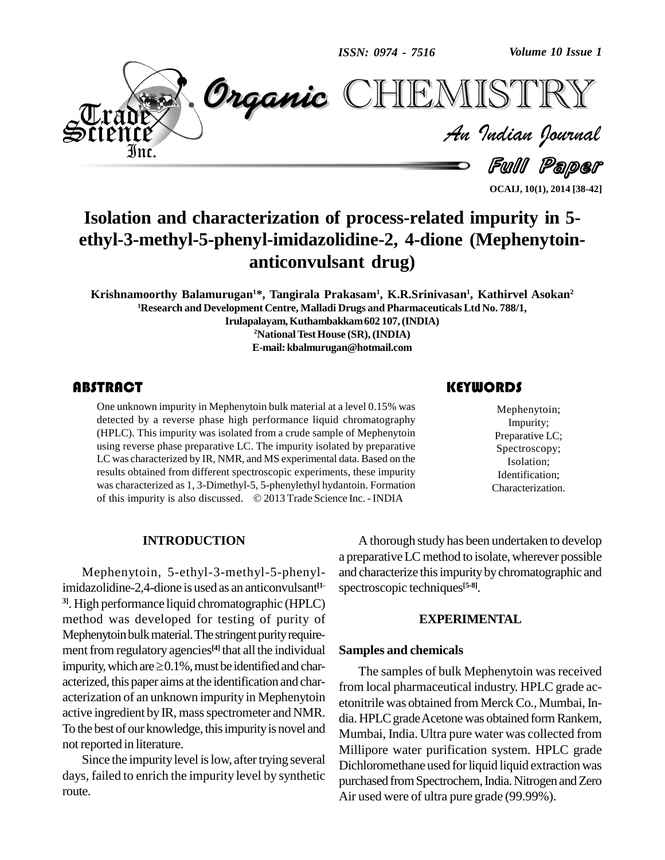*ISSN: 0974 - 7516*

*Volume 10 Issue 1*



*Volume 10 Issue 1*<br>ISTRY<br>Indian Iournal

**OCAIJ, 10(1), 2014 [38-42]**

Full Paper

# **Isolation and characterization of process-related impurity in 5 ethyl-3-methyl-5-phenyl-imidazolidine-2, 4-dione (Mephenytoin anticonvulsant drug)**

**Krishnamoorthy Balamurugan <sup>1</sup>\*, Tangirala Prakasam<sup>1</sup> , K.R.Srinivasan 1 , Kathirvel Asokan 2 <sup>1</sup>Research and Development Centre, Malladi Drugs and PharmaceuticalsLtd No. 788/1, Irulapalayam,Kuthambakkam602 107,(INDIA) <sup>2</sup>NationalTestHouse (SR),(INDIA) E-mail: [kbalmurugan@hotmail.com](mailto:kbalmurugan@hotmail.com)**

One unknown impurity i<br>detected by a reverse<br>(HPLC). This impurity One unknown impurity in Mephenytoin bulk material at a level 0.15% was detected by a reverse phase high performance liquid chromatography (HPLC). This impurity was isolated from a crude sample of Mephenytoin using reverse phase preparative LC. The impurity isolated by preparative LC was characterized by IR, NMR, and MS experimental data. Based on the results obtained from different spectroscopic experiments, these impurity was characterized as 1,3-Dimethyl-5, 5-phenylethyl hydantoin. Formation results obtained from different spectroscopic experiments, these impurity<br>was characterized as 1, 3-Dimethyl-5, 5-phenylethyl hydantoin. Formation<br>of this impurity is also discussed. © 2013 Trade Science Inc. - INDIA

#### **KEYWORDS**

Mephenytoin;<br>
Impurity;<br>
Preparative LC; Mephenytoin; Impurity; Spectroscopy; Isolation; Identification; Characterization.

#### **INTRODUCTION**

Mephenytoin, 5-ethyl-3-methyl-5-phenylimidazolidine-2,4-dione is used as an anticonvulsant **[1- 3]**. High performance liquid chromatographic (HPLC) method was developed for testing of purity of Mephenytoin bulk material. The stringent purity requirement from regulatory agencies<sup>[4]</sup> that all the individual Sa Mephenytoin bulk material. The stringent purity requirement from regulatory agencies<sup>[4]</sup> that all the individual Sand impurity, which are  $\geq 0.1\%$ , must be identified and characterized, this paper aims at the identification and characterization of an unknown impurity in Mephenytoin active ingredient by IR, mass spectrometer and NMR. To the best of our knowledge, this impurity is novel and notreported in literature.

Since the impurity level is low, after trying several days, failed to enrich the impurity level by synthetic route.

A thorough study has been undertaken to develop a preparative LC method to isolate, wherever possible and characterize this impurity by chromatographic and spectroscopic techniques **[5-8]**.

#### **EXPERIMENTAL**

#### **Samples and chemicals**

The samples of bulk Mephenytoin was received from local pharmaceutical industry. HPLC grade ac etonitrile was obtained from Merck Co., Mumbai, India. HPLC grade Acetone was obtained form Rankem, Mumbai, India. Ultra pure water was collected from Millipore water purification system. HPLC grade Dichloromethane used for liquid liquid extraction was purchased from Spectrochem, India. Nitrogen and Zero Air used were of ultra pure grade (99.99%).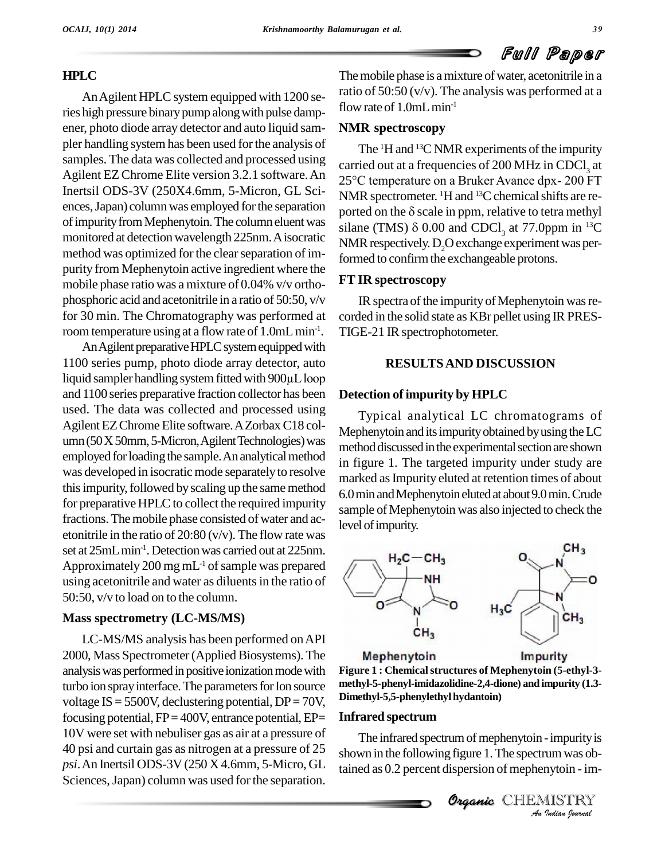# **HPLC**

An Agilent HPLC system equipped with 1200 series high pressure binary pump along with pulse dampener, photo diode array detector and auto liquid sam pler handling systemhas been used forthe analysis of samples. The data was collected and processed using Agilent EZChrome Elite version 3.2.1 software.An Inertsil ODS-3V (250X4.6mm, 5-Micron, GL Sci ences, Japan) column was employed for the separation ported on the  $\delta$  scale in ppm, relative to tetra methyl of impurity from Mephenytoin. The column eluent was monitored at detection wavelength 225nm. A isocratic method was optimized for the clearseparation of im purity from Mephenytoin active ingredient where the mobile phase ratio was a mixture of 0.04% v/v ortho phosphoric acid and acetonitrile in a ratio of 50:50, v/v for 30 min. The Chromatography was performed at room temperature using at a flow rate of 1.0mL min<sup>-1</sup>.

An Agilent preparative HPLC system equipped with 1100 series pump, photo diode array detector, auto An Agilent preparative HPLC system equipped with<br>1100 series pump, photo diode array detector, auto<br>liquid sampler handling system fitted with 900µL loop and 1100 series preparative fraction collector has been used. The data was collected and processed using Agilent EZ Chrome Elite software. A Zorbax C18 column (50 X 50mm, 5-Micron, Agilent Technologies) was employed for loading the sample. An analytical method was developed in isocratic mode separately to resolve this impurity, followed by scaling up the same method for preparative HPLC to collect the required impurity fractions. The mobile phase consisted of water and acetonitrile in the ratio of 20:80 (v/v). The flow rate was set at 25mL min<sup>-1</sup>. Detection was carried out at 225nm. Approximately 200 mg mL<sup>-1</sup> of sample was prepared  $\sqrt{ }$ using acetonitrile and water as diluents in the ratio of 50:50, v/v to load on to the column.

#### **Mass spectrometry (LC-MS/MS)**

LC-MS/MS analysis has been performed onAPI 2000, Mass Spectrometer (Applied Biosystems). The Mephenytoin analysis was performed in positive ionization mode with turbo ion spray interface. The parameters for Ion source voltage IS =  $5500V$ , declustering potential, DP = 70V, focusing potential,  $FP = 400V$ , entrance potential,  $EP=$ 10V were set with nebuliser gas as air at a pressure of 40 psi and curtain gas as nitrogen at a pressure of 25 *psi*.An Inertsil ODS-3V (250 X 4.6mm, 5-Micro, GL Sciences, Japan) column was used for the separation.

The mobile phase is a mixture of water, acetonitrile in a ratio of  $50:50 \, (v/v)$ . The analysis was performed at a flow rate of  $1.0$ mL min<sup>-1</sup>

#### **NMR spectroscopy**

The  $\rm{^1H}$  and  $\rm{^{13}C}$  NMR experiments of the impurity carried out at a frequencies of 200 MHz in CDCl<sub>2</sub> at The <sup>1</sup>H and <sup>13</sup>C NMR experiments of the impurity<br>carried out at a frequencies of 200 MHz in CDCl<sub>3</sub> at<br>25°C temperature on a Bruker Avance dpx- 200 FT NMR spectrometer. <sup>1</sup>H and <sup>13</sup>C chemical shifts are re-25°C temperature on a Bruker Avance dpx- 200 FT<br>NMR spectrometer. <sup>1</sup>H and <sup>13</sup>C chemical shifts are re-<br>ported on the  $\delta$  scale in ppm, relative to tetra methyl NMR spectrometer. <sup>1</sup>H and <sup>13</sup>C chemical shifts are reported on the  $\delta$  scale in ppm, relative to tetra methyl silane (TMS)  $\delta$  0.00 and CDCl<sub>3</sub> at 77.0ppm in <sup>13</sup>C NMR respectively. D<sub>2</sub>O exchange experiment was performed to confirm the exchangeable protons.

# **FT IR spectroscopy**

-1 . TIGE-21 IR spectrophotometer. IR spectra of the impurity of Mephenytoin was recorded in the solid state as KBr pellet using IR PRES-

# **RESULTSAND DISCUSSION**

# **Detection of impurity by HPLC**

Typical analytical LC chromatograms of Mephenytoin and its impurity obtained by using the  $LC$ method discussed in the experimental section are shown in figure 1. The targeted impurity under study are marked asImpurity eluted at retention times of about 6.0minandMephenytoinelutedat about9.0min.Crude sample of Mephenytoin was also injected to check the level of impurity.





#### **Infrared spectrum**

*Impurity is*<br>*Immergalay*<br>*ISTRY*<br>*Indian Iournal* The infrared spectrum of mephenytoin - impurity is shown in the following figure 1. The spectrum was obtained as 0.2 percent dispersion of mephenytoin -im-

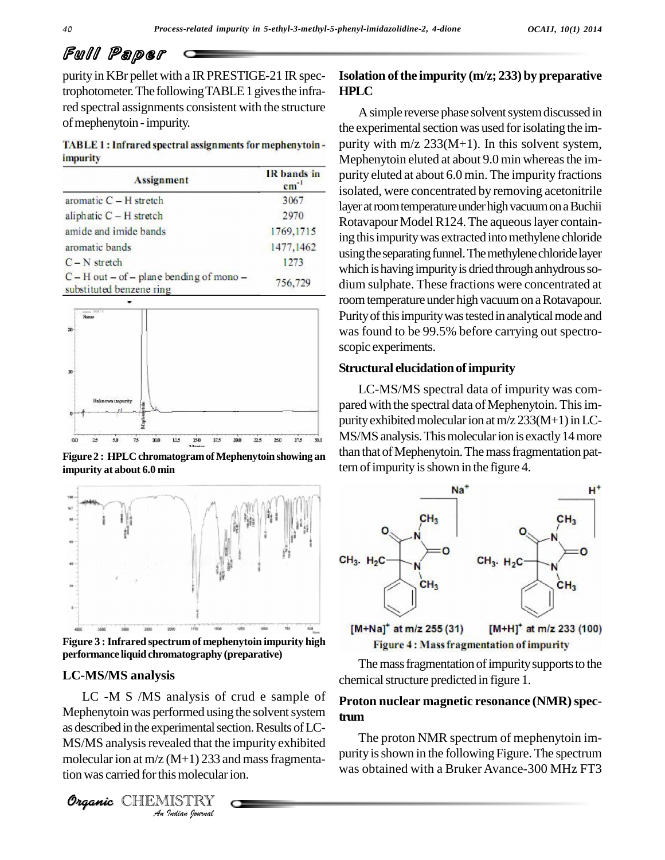# Full Paper

purity in KBr pellet with a IR PRESTIGE-21 IR spectrophotometer. The following TABLE 1 gives the infrared spectral assignments consistent with the structure of mephenytoin - impurity.

TABLE 1: Infrared spectral assignments for mephenytoin*impurity* 

| <b>Assignment</b>                                                            | IR bands in<br>$cm^{-1}$ |
|------------------------------------------------------------------------------|--------------------------|
| aromatic $C - H$ stretch                                                     | 3067                     |
| aliphatic C - H stretch                                                      | 2970                     |
| amide and imide bands                                                        | 1769,1715                |
| aromatic bands                                                               | 1477, 1462               |
| $C - N$ stretch                                                              | 1273                     |
| $C - H$ out $-$ of $-$ plane bending of mono $-$<br>substituted benzene ring | 756,729                  |



tern ofimpurityisshown in the figure 4. **Figure <sup>2</sup> : HPLC chromatogramofMephenytoin showing an impurity at about 6.0 min**



**Figure 3 :Infrared spectrum of mephenytoin impurity high**  $performance$  **liquid chromatography** (preparative)

#### **LC-MS/MS analysis**

**Analytical System as described in the experimental section. Results of LC-Indiana Indiana Proper**<br> *I* (M+1) 233 and<br> *I* ISTRY<br> *IISTRY*<br> *Indian Iournal* LC -M S /MS analysis of crud e sample of Mephenytoin was performed using the solvent system  $MS/MS$  analysis revealed that the impurity exhibited  $\frac{1}{10}$ molecular ion at  $m/z$  (M+1) 233 and mass fragmentation was carried for this molecular ion.



A simple reverse phase solvent system discussed in the experimental section was used for isolating the impurity with  $m/z$  233(M+1). In this solvent system, Mephenytoin eluted at about 9.0 min whereas the impurity eluted at about 6.0 min. The impurity fractions isolated, were concentrated by removing acetonitrile layer at room temperature under high vacuum on a Buchii Rotavapour Model R124. The aqueous layer containing this impurity was extracted into methylene chloride using the separating funnel. The methylene chloride layer which is having impurity is dried through anhydrous sodium sulphate. These fractions were concentrated at room temperature under high vacuum on a Rotavapour. Purity of this impurity was tested in analytical mode and was found to be 99.5% before carrying out spectro scopic experiments.

#### **Structural elucidationofimpurity**

LC-MS/MS spectral data of impurity was com pared with the spectral data of Mephenytoin. This impurity exhibited molecular ion at  $m/z$  233(M+1) in LC-MS/MS analysis. This molecular ion is exactly 14 more than that of Mephenytoin. The mass fragmentation pat-



**Figure 4: Mass fragmentation of impurity** 

The mass fragmentation of impurity supports to the chemical structure predicted in figure 1.

# Proton nuclear magnetic resonance (NMR) spec**trum**

The proton NMR spectrum of mephenytoin im purity is shown in the following Figure. The spectrum was obtained with a Bruker Avance-300 MHz FT3

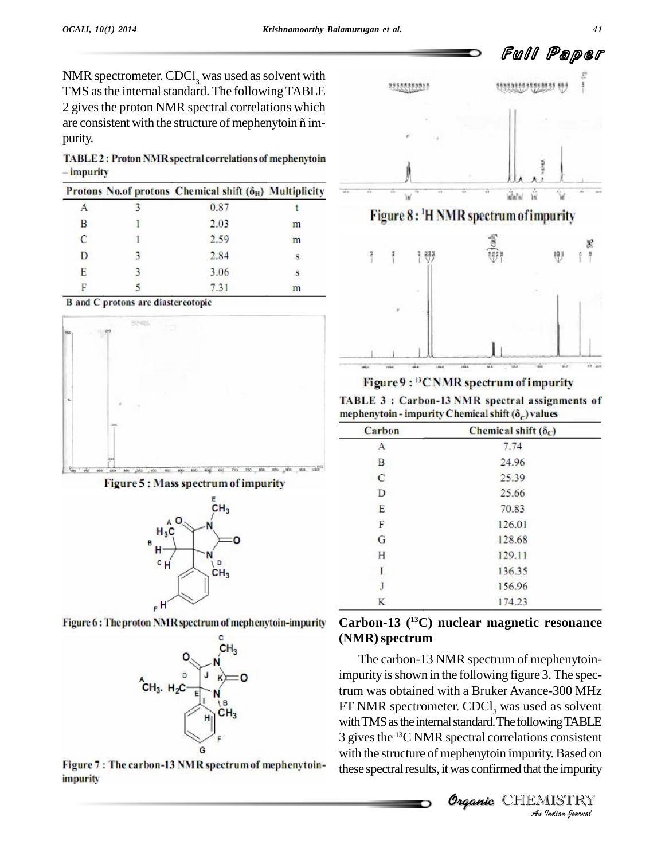NMR spectrometer. CDCl<sub>3</sub> was used as solvent with TMS as the internal standard. The following TABLE<br>2 gives the proton NMR spectral correlations which<br>are consistent with the structure of mephenytoin ñ im-2 gives the proton NMR spectral correlations which purity.

TABLE 2: Proton NMR spectral correlations of mephenytoin -impurity

|   | Protons No.of protons Chemical shift $(\delta_H)$ Multiplicity |   |
|---|----------------------------------------------------------------|---|
|   | 0.87                                                           |   |
| В | 2.03                                                           | m |
| C | 2.59                                                           | m |
| D | 2.84                                                           | s |
| Е | 3.06                                                           | s |
|   | 7.31                                                           | m |

**B** and C protons are diastereotopic







Figure 6: The proton NMR spectrum of mephenytoin-impurity



Figure 7: The carbon-13 NMR spectrum of mephenytoin*impurity* 



Figure 9: <sup>13</sup>CNMR spectrum of impurity

TABLE 3 : Carbon-13 NMR spectral assignments of mephenytoin - impurity Chemical shift  $(\delta_c)$  values

| <b>Carbon</b> | Chemical shift $(\delta_C)$ |
|---------------|-----------------------------|
| А             | 7.74                        |
| B             | 24.96                       |
| $\mathbf{C}$  | 25.39                       |
| D             | 25.66                       |
| E             | 70.83                       |
| F             | 126.01                      |
| G             | 128.68                      |
| Η             | 129.11                      |
| I             | 136.35                      |
| J             | 156.96                      |
| K             | 174.23                      |

# **Carbon-13 ( <sup>13</sup>C) nuclear magnetic resonance (NMR)spectrum**

with TMS as the internal standard. The following TABLE *VingTABLE*<br>*Is consistent*<br>*Indian hournal*<br>*Indian hournal* The carbon-13 NMR spectrum of mephenytoinimpurity is shown in the following figure 3. The spectrum was obtained with a Bruker Avance-300 MHz FT NMR spectrometer.  $CDCl<sub>3</sub>$  was used as solvent 3 gives the <sup>13</sup>C NMR spectral correlations consistent with the structure of mephenytoin impurity. Based on these spectral results, it was confirmed that the impurity